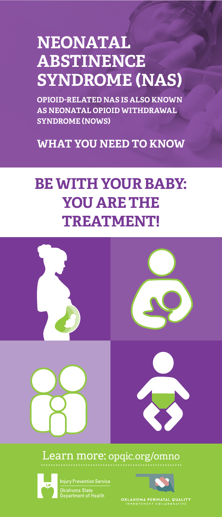# **NEONATAL ABSTINENCE SYNDROME (NAS)**

**OPIOID-RELATED NAS IS ALSO KNOWN AS NEONATAL OPIOID WITHDRAWAL SYNDROME (NOWS)**

**WHAT YOU NEED TO KNOW**

## **BE WITH YOUR BABY: YOU ARE THE TREATMENT!**



### Learn more: opqic.org/omno



Oklahoma State<br>Department of Health